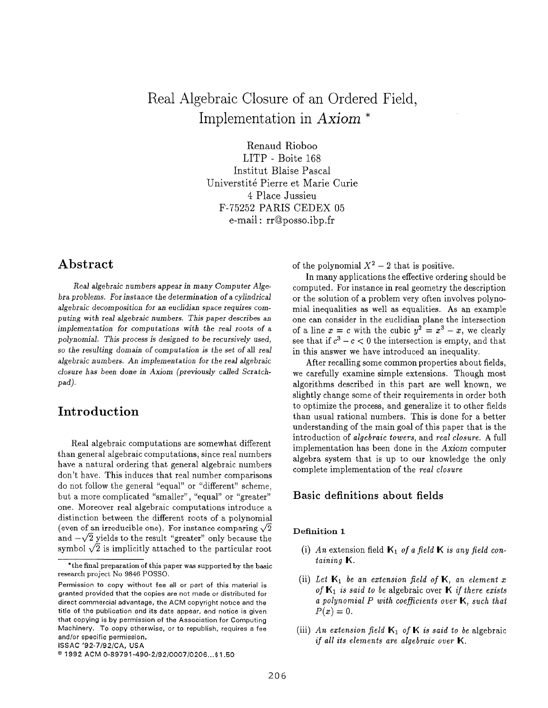# Real Algebraic Closure of an Ordered Field, Implementation in Axiom \*

Renaud Rioboo LITP - Boite 168 Institut Blaise Pascal Universtité Pierre et Marie Curie 4 Place Jussieu F-75252 PARIS CEDEX 05 e-mail: rrQposso.ibp,fr

# Abstract

Real algebraic numbers appear in many Computer Algebra problems. For instance the determination of a cylindrical algebraic decomposition for an euclidian space requires computing with real algebraic numbers. This paper describes an implementation for computations with the real roots of a polynomial. This process is designed to be recursively used, so the resulting domain of computation is the set of all real algebraic numbers. An implementation for the real algebraic closure has been done in Ax'om (previously called Scratchpad).

# Introduction

Real algebraic computations are somewhat different than general algebraic computations, since real numbers have a natural ordering that general algebraic numbers don't have. This induces that real number comparisons do not follow the general "equal" or "different" scheme, but a more complicated "smaller", "equal" or "greater" one. Moreover real algebraic computations introduce a distinction between the different roots of a polynomial (even of an irreducible one). For instance comparing  $\sqrt{2}$ and  $-\sqrt{2}$  yields to the result "greater" only because the symbol  $\sqrt{2}$  is implicitly attached to the particular root

ISSAC '92-7192/CA, USA

of the polynomial  $X^2 - 2$  that is positive.

In many applications the effective ordering should be computed. For instance in real geometry the description or the solution of a problem very often involves polynomial inequalities as well as equalities. As an example one can consider in the euclidian plane the intersection of a line  $x = c$  with the cubic  $y^2 = x^3 - x$ , we clearly see that if  $c^3 - c < 0$  the intersection is empty, and that in this answer we have introduced an inequality.

After recalling some common properties about fields, we carefully examine simple extensions. Though most algorithms described in this part are well known, we slightly change some of their requirements in order both to optimize the process, and generalize it to other fields than usual rational numbers. This is done for a better understanding of the main goal of this paper that is the introduction of algebraic towers, and real closure. A full implementation has been done in the Axiom computer algebra system that is up to our knowledge the only complete implementation of the real closure

## Basic definitions about fields

## Definition 1

- (1) An extension field  $\mathbb{K}_1$  of a field  $\mathbb{K}$  is any field containing K.
- (ii) Let  $\mathbb{K}_1$  be an extension field of  $\mathbb{K}$ , an element x of  $\mathbf{K}_1$  is said to be algebraic over  $\mathbf{K}$  if there exists a polynomial  $P$  with coefficients over  $\mathbb{K}$ , such that  $P(x)=0.$
- (iii) An extension field  $\mathbf{K}_1$  of  $\mathbf{K}$  is said to be algebra if all its elements are algebraic over  $K$ .

<sup>\*</sup>the final preparation of this paper was supported by the basic research project No 9846 POSSO.

Permission to copy without fee all or part of this material is granted provided that the oopies are not made or distributed for direct commercial advantage, the ACM copyright notice and the title of the publication and its date appear, and notice is given that copying is by permission of the Association for Computing Machinery. To copy otherwise, or to republish, requires a fee and/or specific permission.

<sup>&</sup>lt;sup>©</sup> 1992 ACM 0-89791-490-2/92/0007/0206...\$1.50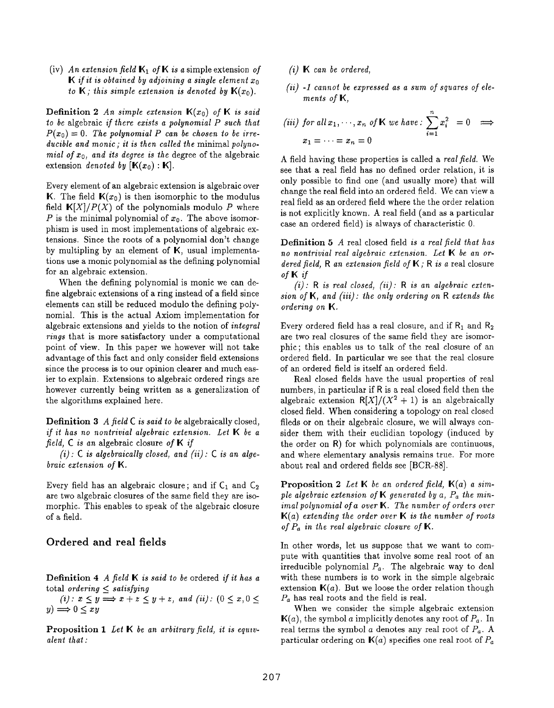(iv) An extension field  $\mathbf{K}_1$  of **K** is a simple extension of **K** if it is obtained by adjoining a single element  $x_0$ to  $\mathbb{K}$ ; this simple extension is denoted by  $\mathbb{K}(x_0)$ .

**Definition 2** An simple extension  $K(x_0)$  of K is said to be algebraic if there exists a polynomial  $P$  such that  $P(x_0) = 0$ . The polynomial P can be chosen to be irreducible and monic; it is then called the minimal polynomial of  $x_0$ , and its degree is the degree of the algebraic extension *denoted by*  $[\mathbf{K}(x_0) : \mathbf{K}]$ .

Every element of an algebraic extension is algebraic over **K.** The field  $K(x_0)$  is then isomorphic to the modulus field  $K[X]/P(X)$  of the polynomials modulo P where P is the minimal polynomial of  $x_0$ . The above isomorphism is used in most implementations of algebraic extensions. Since the roots of a polynomial don't change by multipling by an element of  $K$ , usual implementations use a monic polynomial as the defining polynomial for an algebraic extension.

When the defining polynomial is monic we can define algebraic extensions of a ring instead of a field since elements can still be reduced modulo the defining polynomial. This is the actual Axiom implementation for algebraic extensions and yields to the notion of integral rings that is more satisfactory under a computational point of view. In this paper we however will not take advantage of this fact and only consider field extensions since the process is to our opinion clearer and much easier to explain. Extensions to algebraic ordered rings are however currently being written as a generalization of the algorithms explained here.

**Definition 3** A field  $C$  is said to be algebraically closed, if it has no nontrivial algebraic extension. Let  $K$  be a field, C is an algebraic closure of  $\mathbb K$  if

(i):  $C$  is algebraically closed, and (ii):  $C$  is an algebraic extension of K.

Every field has an algebraic closure; and if  $C_1$  and  $C_2$ are two algebraic closures of the same field they are isomorphic. This enables to speak of the algebraic closure of a field.

## Ordered and real fields

**Definition 4** A field  $\mathbb{K}$  is said to be ordered if it has a total ordering < satisfying

(i):  $x \leq y \Longrightarrow x+z \leq y+z$ , and (ii):  $(0 \leq x, 0 \leq z)$  $y) \Longrightarrow 0 \leq xy$ 

Proposition 1 Let K be an arbitrary field, it is equivalent that:

- $(i)$   $\mathbb K$  can be ordere
- (ii) -1 cannot be expressed as a sum of squares of elements of K,

(iii) for all 
$$
x_1, \dots, x_n
$$
 of **K** we have: 
$$
\sum_{i=1}^n x_i^2 = 0 \implies x_1 = \dots = x_n = 0
$$

A field having these properties is called a real field. We see that a real field has no defined order relation, it is only possible to find one (and usually more) that will change the real field into an ordered field. We can view a real field as an ordered field where the the order relation is not explicitly known. A real field (and as a particular case an ordered field) is always of characteristic O.

Definition 5 A real closed field is a real field that has no nontrivial real algebraic extension. Let  $K$  be an ordered field, R an extension field of  $K$ ; R is a real closure of K if

 $(i)$ : R is real closed,  $(ii)$ : R is an algebraic extension of  $K$ , and (iii): the only ordering on  $R$  extends the ordering on K.

Every ordered field has a real closure, and if  $R_1$  and  $R_2$ are two real closures of the same field they are isomorphic; this enables us to talk of the real closure of an ordered field. In particular we see that the real closure of an ordered field is itself an ordered field.

Real closed fields have the usual properties of real numbers, in particular if R is a real closed field then the algebraic extension  $R[X]/(X^2 + 1)$  is an algebraically closed field. When considering a topology on real closed fileds or on their algebraic closure, we will always consider them with their euclidian topology (induced by the order on R) for which polynomials are continuous, and where elementary analysis remains true. For more about real and ordered fields see [BCR-88].

**Proposition 2** Let K be an ordered field,  $K(a)$  a simple algebraic extension of  $K$  generated by a,  $P_a$  the minimal polynomial of a over  $K$ . The number of orders over  $K(a)$  extending the order over  $K$  is the number of roots of  $P_a$  in the real algebraic closure of  $\mathbb K$ .

In other words, let us suppose that we want to compute with quantities that involve some real root of an irreducible polynomial  $P_a$ . The algebraic way to deal with these numbers is to work in the simple algebraic extension  $K(a)$ . But we loose the order relation though  $P_a$  has real roots and the field is real.

When we consider the simple algebraic extension  $\mathbb{K}(a)$ , the symbol a implicitly denotes any root of  $P_a$ . In real terms the symbol a denotes any real root of  $P_a$ . A particular ordering on  $\mathbf{K}(a)$  specifies one real root of  $P_a$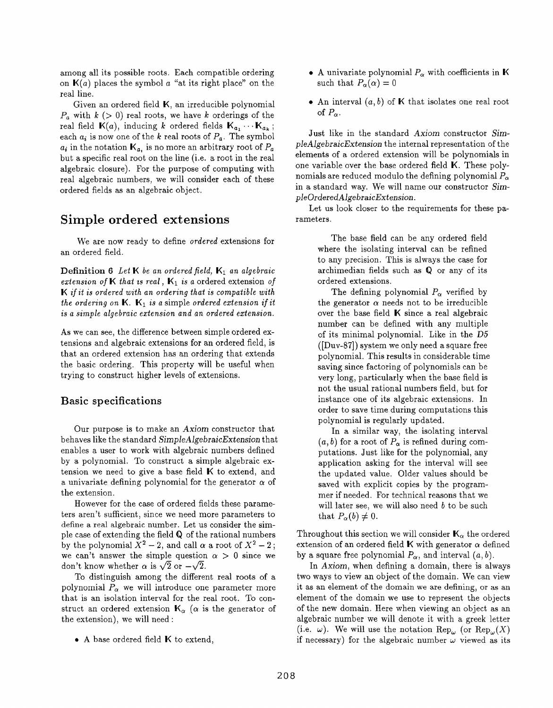among all its possible roots. Each compatible ordering on  $K(a)$  places the symbol a "at its right place" on the real line.

Given an ordered field K, an irreducible polynomial  $P_a$  with  $k > 0$  real roots, we have k orderings of the real field  $\mathbb{K}(a)$ , inducing k ordered fields  $\mathbb{K}_{a_1} \cdots \mathbb{K}_{a_k}$ ; each  $a_i$  is now one of the k real roots of  $P_a$ . The symbol  $a_i$  in the notation  $\mathbf{K}_a$ , is no more an arbitrary root of  $P_a$ but a specific real root on the line (i.e. a root in the real algebraic closure). For the purpose of computing with real algebraic numbers, we will consider each of these ordered fields as an algebraic object.

# Simple ordered extensions

We are now ready to define ordered extensions for an ordered field.

**Definition 6** Let K be an ordered field,  $K_1$  an algebraic extension of K that is real,  $K_1$  is a ordered extension of K if it is ordered with an ordering that is compatible with the ordering on  $K$ .  $K_1$  is a simple ordered extension if it is a simple algebraic extension and an ordered extension.

As we can see, the difference between simple ordered extensions and algebraic extensions for an ordered field, is that an ordered extension has an ordering that extends the basic ordering. This property will be useful when trying to construct higher levels of extensions.

## Basic specifications

Our purpose is to make an Axiom constructor that behaves like the standard SimpleAlgebraicExtension that enables a user to work with algebraic numbers defined by a polynomial. To construct a simple algebraic extension we need to give a base field K to extend, and a univariate defining polynomial for the generator  $\alpha$  of the extension.

However for the case of ordered fields these parameters aren't sufficient, since we need more parameters to define a real algebraic number. Let us consider the simple case of extending the field Q of the rational numbers by the polynomial  $\bar{X}^2 - 2$ , and call  $\alpha$  a root of  $X^2 - 2$ ; we can't answer the simple question  $\alpha > 0$  since we don't know whether  $\alpha$  is  $\sqrt{2}$  or  $-\sqrt{2}$ .

To distinguish among the different real roots of a polynomial  $P_{\alpha}$  we will introduce one parameter more that is an isolation interval for the real root. To construct an ordered extension  $\mathbf{K}_{\alpha}$  ( $\alpha$  is the generator of the extension), we will need :

 $\bullet$  A base ordered field  $K$  to extend,

- A univariate polynomial  $P_{\alpha}$  with coefficients in K such that  $P_{\alpha}(\alpha) = 0$
- An interval  $(a, b)$  of K that isolates one real root of  $P_{\alpha}$ .

Just like in the standard Axiom constructor SimpleAlgebraicExtension the internal represent ation of the elements of a ordered extension will be polynomials in one variable over the base ordered field K. These polynomials are reduced modulo the defining polynomial  $P_{\alpha}$ in a standard way. We will name our constructor SimpleOrderedAlgebraicExtension.

Let us look closer to the requirements for these parameters,

> The base field can be any ordered field where the isolating interval can be refined to any precision. This is always the case for archimedian fields such as Q or any of its ordered extensions.

> The defining polynomial  $P_{\alpha}$  verified by the generator  $\alpha$  needs not to be irreducible over the base field  $\mathbb K$  since a real algebraic number can be defined with any multiple of its minimal polynomial. Like in the D5 ([Duv-87]) system we only need a square free polynomial. This results in considerable time saving since factoring of polynomials can be very long, particularly when the base field is not the usual rational numbers field, but for instance one of its algebraic extensions. In order to save time during computations this polynomial is regularly updated.

> In a similar way, the isolating interval  $(a, b)$  for a root of  $P_{\alpha}$  is refined during computations. Just like for the polynomial, any application asking for the interval will see the updated value. Older values should be saved with explicit copies by the programmer if needed. For technical reasons that we will later see, we will also need  $b$  to be such that  $P_{\alpha}(b) \neq 0$ .

Throughout this section we will consider  $\mathbf{K}_{\alpha}$  the ordered extension of an ordered field **K** with generator  $\alpha$  defined by a square free polynomial  $P_{\alpha}$ , and interval  $(a, b)$ .

In Axiom, when defining a domain, there is always two ways to view an object of the domain. We can view it as an element of the domain we are defining, or as an element of the domain we use to represent the objects of the new domain. Here when viewing an object as an algebraic number we will denote it with a greek letter (i.e.  $\omega$ ). We will use the notation Rep<sub> $\omega$ </sub> (or Rep<sub> $\omega$ </sub>(X) if necessary) for the algebraic number  $\omega$  viewed as its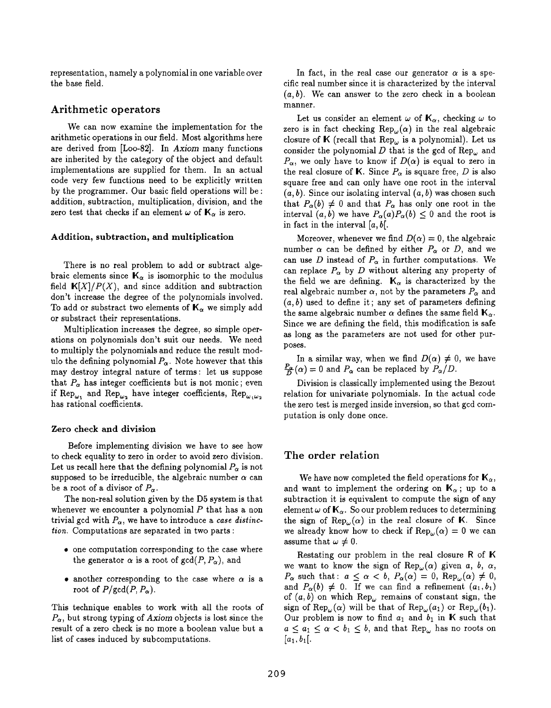representation, namely a polynomial in one variable over the base field.

## Arithmetic operators

We can now examine the implementation for the arithmetic operations in our field, Most algorithms here are derived from [Loo-82], In Axiom many functions are inherited by the category of the object and default implementations are supplied for them. In an actual code very few functions need to be explicitly written by the programmer. Our basic field operations will be: addition, subtraction, multiplication, division, and the zero test that checks if an element  $\omega$  of  $\mathbf{K}_{\alpha}$  is zero.

### Addition, subtraction, and multiplication

There is no real problem to add or subtract algebraic elements since  $K_{\alpha}$  is isomorphic to the modulus field  $K[X]/P(X)$ , and since addition and subtraction don't increase the degree of the polynomials involved. To add or substract two elements of  $K_{\alpha}$  we simply add or substract their representations.

Multiplication increases the degree, so simple operations on polynomials don't suit our needs, We need to multiply the polynomials and reduce the result modulo the defining polynomial  $P_{\alpha}$ . Note however that this may destroy integral nature of terms: let us suppose that  $P_{\alpha}$  has integer coefficients but is not monic; even if Rep<sub> $\omega_1$ </sub> and Rep<sub> $\omega_2$ </sub> have integer coefficients, Rep<sub> $\omega_1\omega_2$ </sub> has rational coefficients.

### Zero check and division

Before implementing division we have to see how to check equality to zero in order to avoid zero division. Let us recall here that the defining polynomial  $P_{\alpha}$  is not supposed to be irreducible, the algebraic number  $\alpha$  can be a root of a divisor of  $P_{\alpha}$ .

The non-real solution given by the D5 system is that whenever we encounter a polynomial  $P$  that has a non trivial gcd with  $P_{\alpha}$ , we have to introduce a case distinction. Computations are separated in two parts :

- $\bullet$  one computation corresponding to the case where the generator  $\alpha$  is a root of  $gcd(P, P_{\alpha})$ , and
- $\bullet$  another corresponding to the case where  $\alpha$  is a root of  $P/\text{gcd}(P, P_{\alpha})$ .

This technique enables to work with all the roots of  $P_{\alpha}$ , but strong typing of Axiom objects is lost since the result of a zero check is no more a boolean value but a list of cases induced by subcomputations.

In fact, in the real case our generator  $\alpha$  is a specific real number since it is characterized by the interval  $(a, b)$ . We can answer to the zero check in a boolean manner.

Let us consider an element  $\omega$  of  $\mathbf{K}_{\alpha}$ , checking  $\omega$  to zero is in fact checking  $\text{Rep}_{\omega}(\alpha)$  in the real algebraic closure of K (recall that  $\text{Rep}_{\omega}$  is a polynomial). Let us consider the polynomial D that is the gcd of  $\text{Rep}_{\omega}$  and  $P_{\alpha}$ , we only have to know if  $D(\alpha)$  is equal to zero in the real closure of K. Since  $P_{\alpha}$  is square free, D is also square free and can only have one root in the interval  $(a, b)$ . Since our isolating interval  $(a, b)$  was chosen such that  $P_{\alpha}(b) \neq 0$  and that  $P_{\alpha}$  has only one root in the interval  $(a, b)$  we have  $P_{\alpha}(a) P_{\alpha}(b) \leq 0$  and the root is in fact in the interval  $[a, b]$ .

Moreover, whenever we find  $D(\alpha) = 0$ , the algebraic number  $\alpha$  can be defined by either  $P_{\alpha}$  or D, and we can use D instead of  $P_{\alpha}$  in further computations. We can replace  $P_{\alpha}$  by D without altering any property of the field we are defining.  $K_{\alpha}$  is characterized by the real algebraic number  $\alpha$ , not by the parameters  $P_{\alpha}$  and  $(a, b)$  used to define it; any set of parameters defining the same algebraic number  $\alpha$  defines the same field  $\mathbf{K}_{\alpha}$ . Since we are defining the field, this modification is safe as long as the parameters are not used for other purposes.

In a similar way, when we find  $D(\alpha) \neq 0$ , we have  $\frac{P_{\alpha}}{D}(\alpha) = 0$  and  $P_{\alpha}$  can be replaced by  $P_{\alpha}/D$ .

Division is classically implemented using the Bezout relation for univariate polynomials. In the actual code the zero test is merged inside inversion, so that gcd computation is only done once.

### The order relation

We have now completed the field operations for  $\mathbf{K}_{\alpha}$ , and want to implement the ordering on  $\mathbb{K}_{\alpha}$ ; up to a subtraction it is equivalent to compute the sign of any element  $\omega$  of  $\mathbf{K}_{\alpha}$ . So our problem reduces to determining the sign of  $\text{Rep}_{\omega}(\alpha)$  in the real closure of K. Since we already know how to check if  $\text{Rep}_{\omega}(\alpha) = 0$  we can assume that  $\omega \neq 0$ .

Restating our problem in the real closure R of K we want to know the sign of  $\text{Rep}_{\omega}(\alpha)$  given a, b,  $\alpha$ ,  $P_{\alpha}$  such that:  $a \leq \alpha < b$ ,  $P_{\alpha}(\alpha) = 0$ ,  $\text{Rep}_{\alpha}(\alpha) \neq 0$ , and  $P_{\alpha}(b) \neq 0$ . If we can find a refinement  $(a_1, b_1)$ of  $(a, b)$  on which  $\text{Rep}_{\omega}$  remains of constant sign, the sign of Rep<sub> $\omega$ </sub>( $\alpha$ ) will be that of Rep<sub> $\omega$ </sub>( $a_1$ ) or Rep<sub> $\omega$ </sub>( $b_1$ ). Our problem is now to find  $a_1$  and  $b_1$  in K such that  $a \le a_1 \le \alpha < b_1 \le b$ , and that Rep<sub>w</sub> has no roots on  $[a_1, b_1].$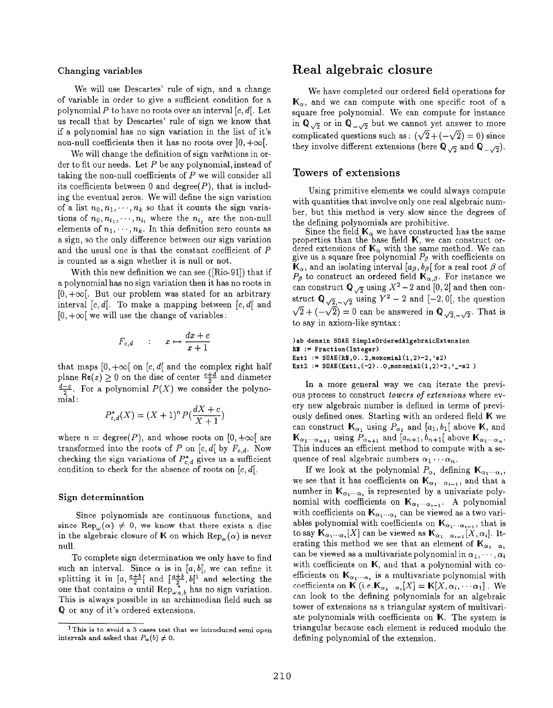We will use Descartes' rule of sign, and a change of variable in order to give a sufficient condition for a polynomial P to have no roots over an interval  $[c, d]$ . Let us recall that by Descartes' rule of sign we know that if a polynomial has no sign variation in the list of it's non-null coefficients then it has no roots over  $]0, +\infty[$ .

We will change the definition of sign variations in order to fit our needs. Let  $P$  be any polynomial, instead of taking the non-null coefficients of P we will consider all its coefficients between 0 and degree $(P)$ , that is including the eventual zeros. We will define the sign variation of a list  $n_0, n_1, \dots, n_k$  so that it counts the sign variations of  $n_0, n_{i_1}, \dots, n_{i_l}$  where the  $n_{i_l}$  are the non-null elements of  $n_1, \dots, n_k$ . In this definition zero counts as a sign, so the only difference between our sign variation and the usual one is that the constant coefficient of P is counted as a sign whether it is null or not.

With this new definition we can see ([Rio-91]) that if a polynomial has no sign variation then it has no roots in  $[0, +\infty]$ . But our problem was stated for an arbitrary interval  $[c, d]$ . To make a mapping between  $[c, d]$  and  $[0, +\infty]$  we will use the change of variables:

$$
F_{c,d} \qquad : \qquad x \mapsto \frac{dx+c}{x+1}
$$

that maps  $[0, +\infty[$  on  $[c, d]$  and the complex right half plane Re(z)  $\geq$  0 on the disc of center  $\frac{c+4}{2}$  and diameter  $rac{d-c}{2}$ . For a polynomial  $P(X)$  we consider the polynomial:

$$
P_{c,d}^{*}(X) = (X+1)^{n} P(\frac{dX+c}{X+1})
$$

where  $n = \text{degree}(P)$ , and whose roots on  $[0, +\infty[$  are transformed into the roots of P on  $[c, d]$  by  $F_{c,d}$ . Now checking the sign variations of  $P_{c,d}^*$  gives us a sufficient condition to check for the absence of roots on  $[c, d]$ .

### Sign determination

Since polynomials are continuous functions, and since Rep<sub>w</sub> $(\alpha) \neq 0$ , we know that there exists a disc in the algebraic closure of K on which  $\text{Rep}_{\omega}(\alpha)$  is never null.

To complete sign determination we only have to find such an interval. Since  $\alpha$  is in [a, b[, we can refine it splitting it in  $|a, \frac{a+c}{2}|$  and  $|\frac{a+c}{2}, b|$  and selecting the one that contains  $\alpha$  until Rep<sub>wa</sub>, has no sign variation. This is always possible in an archimedian field such as Q or any of it's ordered extensions.

## Changing variables Real algebraic closure

We have completed our ordered field operations for  $\mathbf{K}_{\alpha}$ , and we can compute with one specific root of a square free polynomial. We can compute for instance in  $\mathbb{Q}_{\sqrt{2}}$  or in  $\mathbb{Q}_{-\sqrt{2}}$  but we cannot yet answer to more complicated questions such as :  $(\sqrt{2}+(-\sqrt{2})=0)$  since they involve different extensions (here  $\mathbf{Q}_{\sqrt{2}}$  and  $\mathbf{Q}_{\sqrt{2}}$ ).

## Towers of extensions

Using primitive elements we could always compute with quantities that involve only one real algebraic number, but this method is very slow since the degrees of the defining polynomials are prohibitive.

Since the field  $\mathbf{K}_\alpha$  we have constructed has the same properties than the base field K, we can construct ordered extensions of  $K_{\alpha}$  with the same method. We can give us a square free polynomial  $P_\beta$  with coefficients on  $\mathbf{K}_{\alpha},$  and an isolating interval  $[a_{\beta},b_{\beta}]$  for a real root  $\beta$  of  $P_{\beta}$  to construct an ordered field  $\mathbf{K}_{\alpha,\beta}$ . For instance we can construct  $\mathbb{Q}_{\sqrt{2}}$  using  $X^2-2$  and [0, 2] and then construct  $Q_{\sqrt{2}, \sqrt{2}}$  using  $Y^2 - Z$  and  $[-2, 0],$  the question  $\sqrt{2} + (-\sqrt{2}) = 0$  can be answered in  $\mathbb{Q}_{\sqrt{2}, -\sqrt{2}}$ . That is to say in axiom-like syntax:

)ab domain SOAE SimpleOrderedAlgebraicExtension RN := Fraction (Integer) Ext1 :=  $S0AE(RN, 0..2, monomial(1,2)-2, 's2)$ Ext2 :=  $S0AE(Ext1, (-2) ... 0, \text{monomial}(1, 2) - 2, ' - 52)$ 

In a more general way we can iterate the previous process to construct towers of extensions where every new algebraic number is defined in terms of previously defined ones. Starting with an ordered field K we can construct  $\mathbf{K}_{\alpha_1}$  using  $P_{\alpha_1}$  and  $[a_1, b_1]$  above K, and  $\mathbf{K}_{\alpha_1\cdots\alpha_{n+1}}$  using  $P_{\alpha_{n+1}}$  and  $[a_{n+1}, b_{n+1}]$  above  $\mathbf{K}_{\alpha_1\cdots\alpha_n}$ . This induces an efficient method to compute with a sequence of real algebraic numbers  $\alpha_1 \cdots \alpha_n$ .

If we look at the polynomial  $P_{\alpha}$ , defining  $\mathbf{K}_{\alpha_1\cdots\alpha_r}$ , we see that it has coefficients on  $\mathbf{K}_{\alpha_1,\alpha_{i-1}}$ , and that a number in  $\mathbf{K}_{\alpha_1\cdots\alpha_r}$  is represented by a univariate polynomial with coefficients on  $\mathbf{K}_{\alpha_1\cdots\alpha_{i-1}}.$  A polynomial with coefficients on  $\mathbf{K}_{\alpha_1\cdots\alpha_n}$  can be viewed as a two variables polynomial with coefficients on  $\mathbf{K}_{\alpha_1 \cdots \alpha_{i-1}}$ , that is to say  $\mathbf{K}_{\alpha_1\cdots\alpha_k}[X]$  can be viewed as  $\mathbf{K}_{\alpha_1\cdots\alpha_{k-1}}[X,\alpha_i]$ . Iterating this method we see that an element of  $K_{\alpha_1 \alpha_r}$ can be viewed as a multivariate polynomial in  $\alpha_1, \cdots, \alpha_i$ with coefficients on K, and that a polynomial with coefficients on  $\mathbf{K}_{\alpha_1 \cdots \alpha_n}$  is a multivariate polynomial with coefficients on  $\mathbf{K}$  (i.e.  $\mathbf{K}_{\alpha_1 \cdots \alpha_i} [X] = \mathbf{K} [X, \alpha_i, \cdots \alpha_1]$ . We can look to the defining polynomials for an algebraic tower of extensions as a triangular system of multivariate polynomials with coefficients on K. The system is triangular because each element is reduced modulo the defining polynomial of the extension,

 $1$ This is to avoid a 3 cases test that we introduced semi open intervals and asked that  $P_{\alpha}(b) \neq 0$ .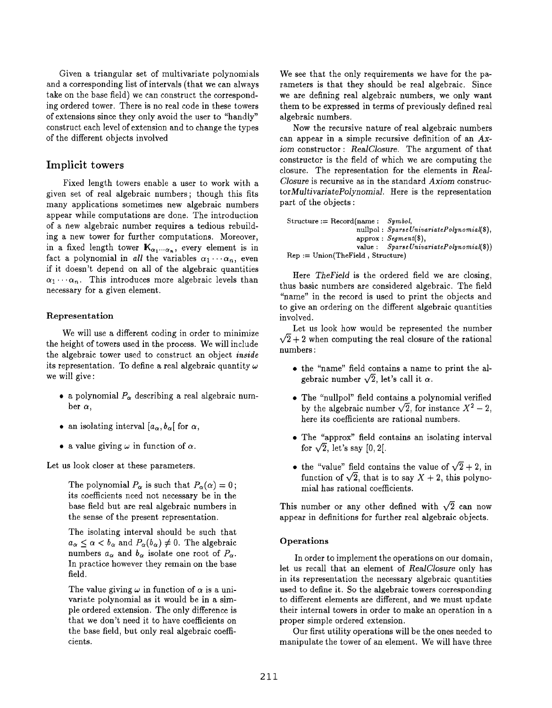Given a triangular set of multivariate polynomials and a corresponding list of intervals (that we can always take on the base field) we can construct the corresponding ordered tower. There is no real code in these towers of extensions since they only avoid the user to "handly" construct each level of extension and to change the types of the different objects involved

## Implicit towers

Fixed length towers enable a user to work with a given set of real algebraic numbers ; though this fits many applications sometimes new algebraic numbers appear while computations are done, The introduction of a hew algebraic number requires a tedious rebuilding a new tower for further computations. Moreover, in a fixed length tower  $\mathbf{K}_{\alpha_1 \cdots \alpha_n}$ , every element is in fact a polynomial in all the variables  $\alpha_1 \cdots \alpha_n$ , even if it doesn't depend on all of the algebraic quantities  $\alpha_1 \cdots \alpha_n$ . This introduces more algebraic levels than necessary for a given element.

### **Representation**

We will use a different coding in order to minimize the height of towers used in the process. We will include the algebraic tower used to construct an object inside its representation. To define a real algebraic quantity  $\omega$ we will give:

- a polynomial  $P_{\alpha}$  describing a real algebraic number  $\alpha$ ,
- an isolating interval  $[a_{\alpha}, b_{\alpha}]$  for  $\alpha$ ,
- a value giving  $\omega$  in function of  $\alpha$ .

Let us look closer at these parameters.

The polynomial  $P_{\alpha}$  is such that  $P_{\alpha}(\alpha) = 0$ ; its coefficients need not necessary be in the base field but are real algebraic numbers in the sense of the present representation.

The isolating interval should be such that  $a_{\alpha} \leq \alpha < b_{\alpha}$  and  $P_{\alpha}(b_{\alpha}) \neq 0$ . The algebraic numbers  $a_{\alpha}$  and  $b_{\alpha}$  isolate one root of  $P_{\alpha}$ . In practice however they remain on the base field,

The value giving  $\omega$  in function of  $\alpha$  is a univariate polynomial as it would be in a simple ordered extension. The only difference is that we don't need it to have coefficients on the base field, but only real algebraic coefficients.

We see that the only requirements we have for the parameters is that they should be real algebraic, Since we are defining real algebraic numbers, we only want them to be expressed in terms of previously defined real algebraic numbers.

Now the recursive nature of real algebraic numbers can appear in a simple recursive definition of an  $Ax$ iom constructor : RealClosure. The argument of that constructor is the field of which we are computing the closure. The representation for the elements in Real-Closure is recursive as in the standard Axiom construc $torMultivariate Polynomial$ . Here is the representation part of the objects :

Structure := Record(name :  $Symbol$ , nullpol : Sparse UnivariatePolyn omial(\$),  $approx: Segment(\$),$ value:  $SparseUnivariate Polynomial(\text{\textcircled{\$}})$ Rep := Union(TheField , Structure)

Here TheField is the ordered field we are closing, thus basic numbers are considered algebraic. The field "name" in the record is used to print the objects and to give an ordering on the different algebraic quantities involved.

Let us look how would be represented the number  $\sqrt{2}+2$  when computing the real closure of the rational numbers:

- $\bullet$  the "name" field contains a name to print the algebraic number  $\sqrt{2}$ , let's call it  $\alpha$ .
- $\bullet$  The "nullpol" field contains a polynomial verifie by the algebraic number  $\sqrt{2}$ , for instance  $X^2 - 2$ , here its coefficients are rational numbers.
- $\bullet$  The "approx" field contains an isolating interv for  $\sqrt{2}$ , let's say [0, 2].
- the "value" field contains the value of  $\sqrt{2} + 2$ , in function of  $\sqrt{2}$ , that is to say  $X + 2$ , this polynomial has rational coefficients.

This number or any other defined with  $\sqrt{2}$  can now appear in definitions for further real algebraic objects.

### Operations

In order to implement the operations on our domain, let us recall that an element of RealClosure only has in its representation the necessary algebraic quantities used to define it. So the algebraic towers corresponding to different elements are different, and we must update their internal towers in order to make an operation in a proper simple ordered extension.

Our first utility operations will be the ones needed to manipulate the tower of an element. We will have three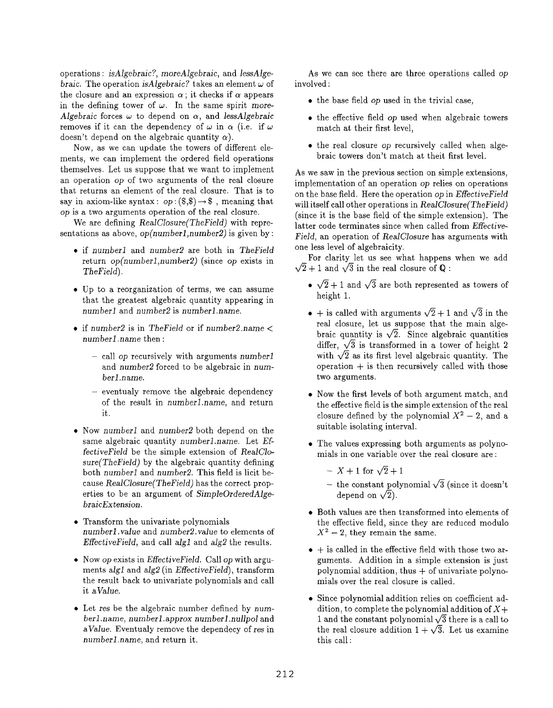operations: isAlgebraic?, moreAlgebraic, and lessAlgebraic. The operation is Algebraic? takes an element  $\omega$  of the closure and an expression  $\alpha$ ; it checks if  $\alpha$  appears in the defining tower of  $\omega$ . In the same spirit more-Algebraic forces  $\omega$  to depend on  $\alpha$ , and lessAlgebraic removes if it can the dependency of  $\omega$  in  $\alpha$  (i.e. if  $\omega$ doesn't depend on the algebraic quantity  $\alpha$ ).

Now, as we can update the towers of different elements, we can implement the ordered field operations themselves. Let us suppose that we want to implement an operation op of two arguments of the real closure that returns an element of the real closure. That is to say in axiom-like syntax:  $op:(\$,\$) \rightarrow \$$ , meaning that op is a two arguments operation of the real closure.

We are defining RealClosure(TheField) with representations as above,  $op(number1, number2)$  is given by :

- if number1 and number2 are both in TheField return  $op(number1, number2)$  (since op exists in TheField).
- Up to a reorganization of terms, we can assume that the greatest algebraic quantity appearing in numberl and number2 is numberl. name.
- $\bullet$  if number2 is in The Field or if number2.name  $\lt$ numberl name then :
	- call op recursively with arguments numberl and number2 forced to be algebraic in numberl.name.
	- eventualy remove the algebraic dependency of the result in number1.name, and return it.
- Now number1 and number2 both depend on the same algebraic quantity numberl name. Let EffectiveField be the simple extension of RealClo $sure(TheField)$  by the algebraic quantity defining both numberl and number2. This field is licit because RealClosure{TheField) has the correct properties to be an argument of SimpleOrderedAlgebraicExtension.
- Transform the univariate polynomials numberl. value and number2. value to elements of EffectiveField, and call algl and alg2 the results.
- $\bullet$  Now op exists in *EffectiveField*. Call op with arguments alg1 and alg2 (in  $EffectiveField$ ), transform the result back to univariate polynomials and call it aValue.
- Let res be the algebraic number defined by numberl.name, numberl.approx numberl .nullpol and aValue. Eventualy remove the dependecy of res in numberl name, and return it.

As we can see there are three operations called op involved:

- $\bullet$  the base field op used in the trivial case,
- the effective field op used when algebraic towers match at their first level,
- the real closure op recursively called when algebraic towers don't match at theit first level.

As we saw in the previous section on simple extensions, implementation of an operation op relies on operations on the base field, Here the operation op in EffectiveField will itself call other operations in RealClosure(TheField) (since it is the base field of the simple extension). The latter code terminates since when called from *Effective*-Field, an operation of RealClosure has arguments with one less level of algebraicity.

For clarity let us see what happens when we add  $\sqrt{2} + 1$  and  $\sqrt{3}$  in the real closure of Q:

- $\bullet \sqrt{2} + 1$  and  $\sqrt{3}$  are both represented as towers of height 1,
- $\bullet$  + is called with arguments  $\sqrt{2} + 1$  and  $\sqrt{3}$  in the real closure, let us suppose that the main algebraic quantity is  $\sqrt{2}$ . Since algebraic quantities differ,  $\sqrt{3}$  is transformed in a tower of height 2 with  $\sqrt{2}$  as its first level algebraic quantity. The operation  $+$  is then recursively called with those two arguments.
- Now the first levels of both argument match, and the effective field is the simple extension of the real closure defined by the polynomial  $X^2-2$ , and a suit able isolating interval.
- The values expressing both arguments as polynomials in one variable over the real closure are :
	- $X + 1$  for  $\sqrt{2} + 1$
	- the constant polynomial  $\sqrt{3}$  (since it doesn't depend on  $\sqrt{2}$ ).
- Both values are then transformed into elements of the effective field, since they are reduced modulo  $X^2-2$ , they remain the same.
- $\bullet$  + is called in the effective field with those two arguments. Addition in a simple extension is just polynomial addition, thus  $+$  of univariate polynomials over the real closure is called.
- Since polynomial addition relies on coefficient addition, to complete the polynomial addition of  $X+$ 1 and the constant polynomial  $\sqrt{3}$  there is a call to the real closure addition  $1 + \sqrt{3}$ . Let us examine this call: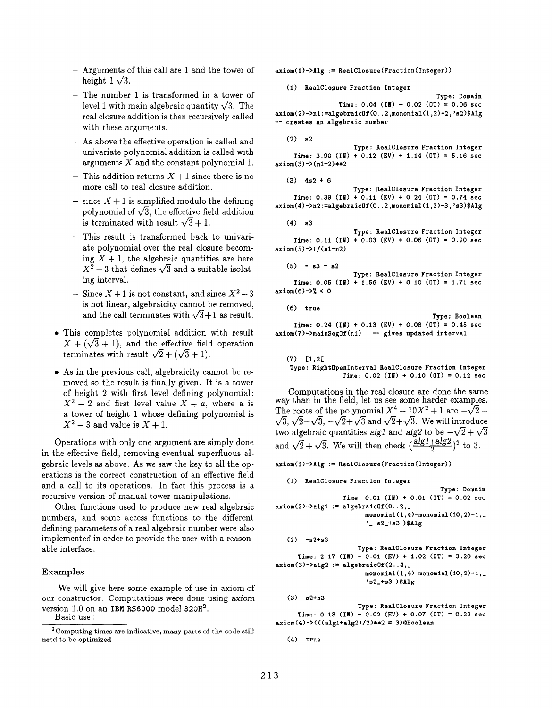- Arguments of this call are 1 and the tower of height  $1\sqrt{3}$ .
- The number 1 is transformed in a tower of level 1 with main algebraic quantity  $\sqrt{3}$ . The real closure addition is then recursively callled with these arguments.
- As above the effective operation is called and univariate polynomial addition is called with arguments  $X$  and the constant polynomial 1.
- This addition returns  $X + 1$  since there is no more call to real closure addition.
- $-$  since  $X + 1$  is simplified modulo the defining polynomial of  $\sqrt{3}$ , the effective field addition is terminated with result  $\sqrt{3} + 1$ .
- This result is transformed back to univariate polynomial over the real closure becoming  $X + 1$ , the algebraic quantities are here  $X^2-3$  that defines  $\sqrt{3}$  and a suitable isolating interval.
- Since  $X + 1$  is not constant, and since  $X^2 3$ is not linear, algebraicity cannot be removed, and the call terminates with  $\sqrt{3}+1$  as result.
- This completes polynomial addition with result  $X + (\sqrt{3} + 1)$ , and the effective field operation terminates with result  $\sqrt{2} + (\sqrt{3} + 1)$ .
- As in the previous call, algebraicity cannot be removed so the result is finally given. It is a tower of height 2 with first level defining polynomial:  $X^2-2$  and first level value  $X + a$ , where a is a tower of height 1 whose defining polynomial is  $X^2-3$  and value is  $X+1$ .

Operations with only one argument are simply done in the effective field, removing eventual superfluous aJgebraic levels as above. As we saw the key to all the operations is the correct construction of an effective field and a call to its operations. In fact this process is a recursive version of manual tower manipulations.

Other functions used to produce new real algebraic numbers, and some access functions to the different defining parameters of a real algebraic number were also implemented in order to provide the user with a reasonable interface.

### Examples

We will give here some example of use in axiom of our constructor. Computations were done using axiom version 1.0 on an IBM RS6000 model 320H<sup>2</sup>.

Basic use:

 $axiom(1)-\lambda 1g := RealClosure(Fraction(Integer))$ 

(1) RealClosure Fraction Integer

Type: Domain Time:  $0.04$  (IN) +  $0.02$  (OT) =  $0.06$  sec  $axiom(2)-\n1: = algebraicOf(0..2,monomial(1,2)-2,'s2)\$ -- creates an algebraic number

 $(2)$  s2

Type: RealClosure Fraction Integer Time: 3.90 (IN) + 0.12 (EV) + 1.14 (OT) = 5.16 sec  $axiom(3)->(n1+2)**2$ 

 $(3)$  4s2 + 6

Type: RealClosure Fraction Integer Time:  $0.39$  (IN) +  $0.11$  (EV) +  $0.24$  (OT) = 0.74 sec  $axiom(4)-\n2:=algebraicOf(0..2,monomial(1,2)-3,'s3)*Alg$ 

 $(4)$  s3

Time: 0.11 (IN) + 0.03 (EV) + 0.06 (OT) = 0.20 see  $axiom(5)-1/(n1-n2)$ Type: RealClosure Fraction Integer

 $(5) - s3 - s2$ 

 $Time: 0.05$  (IN) + 1.56 (EV) + 0.10 (OT) = 1.71 sec  $axiom(6)-2% < 0$ Type: RealClosure Fraction Integer

(6) true

Time: 0.24 (H?) + 0.13 (EV) + 0.08 (OT) = 0.45 sec Type: Boolean axiom(7)->mainSegOf(n1) -- gives updated interval

(7) [1,2[ Type: RightOpenInterval RealClosure Fraction Integer Time:  $0.02$  (IN) +  $0.10$  (OT) =  $0.12$  sec

Computations in the real closure are done the same way than in the field, let us see some harder examples. The roots of the polynomial  $X^4 - 10X^2 + 1$  are  $-\sqrt{2}$  –  $\sqrt{3}, \sqrt{2}-\sqrt{3}, -\sqrt{2}+\sqrt{3}$  and  $\sqrt{2}+\sqrt{3}$ . We will introduce two algebraic quantities alg1 and alg2 to be  $-\sqrt{2} + \sqrt{3}$ and  $\sqrt{2} + \sqrt{3}$ . We will then check  $\left(\frac{alg1 + alg2}{2}\right)^2$  to 3.

 $axiom(1)-\lambda 1g := RealClosure(Fraction(Integer))$ 

```
(1) RealClosure Fraction Integer
                                              Type: Domain
                  Time: 0.01 (IM) + 0.01 (OT) = 0.02 sec
axiom(2)-\lambda alg1 := algebraicOf(0..2, ...)monomial(1,4)-monomial(10,2)+1,
                         '-s2_+s3 )$Alg
```

```
(2) -s2+s3
```

```
Type: RealClosure Fraction Integer
     Time: 2.17 (IN) + 0.01 (EV) + 1.02 (OT) = 3.20 sec
axiom(3)->alg2 := algebraic0f(2..4, ...)monomial(1,4)-monomial(10,2)+1,>s2-+s3 ) $Alg
```
(3) s2+s3 Type: RealClosure Fraction Integer Time: 0.13 (IN) + 0.02 (EV) + 0.07 (OT) = 0.22 sec  $axiom(4) - \frac{((alg1 + alg2)}{2} \cdot \frac{2}{x} = 3) @ Boolean$ 

```
(4) true
```
<sup>&</sup>lt;sup>2</sup> Computing times are indicative, many parts of the code still need to be optimized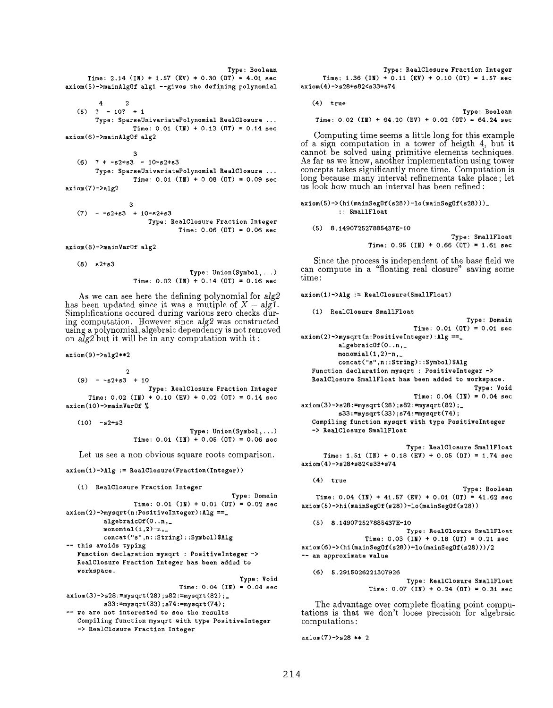```
Type: Boolean
     Time: 2.14 (IN) + 1.57 (EV) + 0.30 (OT) = 4.01 sec
axiom(5)-\frac{1}{2} algl --gives the defining polynomial
```
2  $\overline{4}$  $(5)$  ? - 10? + 1 Type: SparseUnivariatePolynomial RealClosure ... Time:  $0.01$  (IN) + 0.13 (OT) = 0.14 sec  $axiom(6)$ ->mainAlgOf alg2

3  $(6)$  ? +  $-s2+s3 - 10-s2+s3$ Type: SparseUnivariat ePolynomial RealClosure . . . Time:  $0.01$  (IN) + 0.08 (OT) = 0.09 sec  $axiom(7)->a1g2$ 

3  $(7)$  -  $-s2+s3$  +  $10-s2+s3$ Type: RealClosure Fraction Integer  $Time: 0.06 (DT) = 0.06 sec$ 

axiom(8) ->mainVarOf alg2

(8) s2+s3

Type: Union (Symbol, . ..) Time:  $0.02$  (IM) +  $0.14$  (OT) = 0.16 sec

As we can see here the defining polynomial for  $alg2$ has been updated since it was a mutiple of  $X - algI$ . Simplifications occured during various zero checks during computation. However since  $alg2$  was constructed using a polynomial, algebraic dependency is not removed on  $\tilde{alg2}$  but it will be in any computation with it:

 $axiom(9)->|a|g2**2$ 

2  $(9) - -s2+s3 + 10$ Type: RealClosure Fraction Integer Time:  $0.02$  (IN) +  $0.10$  (EV) +  $0.02$  (OT) =  $0.14$  sec  $axiom(10)$  ->mainVarOf  $\%$ 

 $(10)$  -s2+s3

Type: Union (Symbol, . ..) Time:  $0.01$  (IM) + 0.05 (OT) = 0.06 sec

Let us see a non obvious square roots comparison.

axiom (i)->Alg := RealClosure (Fraction (Integer) )

```
(1) RealClosure Fraction Integer
```

```
Type: Domain
                  Time: 0.01 (IN) + 0.01 (OT) = 0.02 sec
axiom(2)-\text{Mysqrt}(n:\text{PositiveInteger}):Alg ==_
          algebraic 0f(0..n,monomial(1,2)-n,concat("s" ,n: :String) : :Symbol)$Alg
-- this avoids typing
   Function declaration mysqrt : PositiveInteger ->
   RealClosure Fraction Integer has been added to
   workspace.
                                                Type: Void
                               Time: 0.04 (IN) = 0.04 sec
axiom(3)->s28: =mysqrt(28); s82: =mysqrt(82);s33: =mysqrt (33) ; 574 :=mysqrt (74) ;
-- we are not interested to see the results
   Compiling function mysqrt with type PositiveInteger
   -> RealClosure Fraction Integer
```
Type: RealClosure Fraction Integer Time: 1.36 (IN) + 0.11 (EV) + 0.10 (OT) = 1.57 sec axiom (4)-> s28+s82<s33+s74

(4) true

Type: Boolean Time:  $0.02$  (IN) + 64.20 (EV) + 0.02 (OT) = 64.24 sec

Computing time seems a little long for this example of a sign computation in a tower of heigth 4, but it cannot be solved using primitive elements techniques. As far as we know, another implementation using tower concepts takes significantly more time. Computation is long because many interval refinements take place; let us look how much an interval has been refined:

```
axiom(5)->(hi(mainSegOf(s28))-lo(mainSegOf(s28)))_
          :: SmallFloat
```
### (5) 8.149072527885437E-10

Type: SmallFloat Time:  $0.95$  (IN) +  $0.66$  (OT) = 1.61 sec

Since the process is independent of the base field we can compute in a "floating real closure" saving some time:

```
axiom (l)->Alg := RealClosure (SmallFloat)
```

```
(1) RealClosure SmallFloat
                                             Type: Domain
                              Time: 0.01 (OT) = 0.01 sec
axiom(2)->mysqrt(n:PositiveInteger):Alg ==_
          algebraic 0f(0..n,monomial(1,2)-n,concat(''s'', n: :String) : :Symbol)$Alg
  Function declaration mysqrt : PositiveInteger ->
  RealClosure SmallFloat has been added to workspace.
                                              Type: Void
                              Time: 0.04 (IN) = 0.04 sec
axiom(3)->s28 := mysqrt(28);s82 := mysqrt(82);s33:=mysqrt (33) ;s74 :=mysqrt(74) ;
  Compiling function mysqrt with type PositiveInteger
  -> RealClosure SmallFloat
```
Type: RealClosure SmallFloat Time: 1.51 (IN) + 0.18 (EV) + 0.05 (OT) = 1.74 sec axiom (4)-> s28+sS2<s33+s74

```
(4) true
```
Type: Boolean Time:  $0.04$  (IN) + 41.57 (EV) + 0.01 (OT) = 41.62 sec axiom (5)-> hi(mainSegOf (s28) )-lo (mainSegOf (s28) )

```
(5) 8.149072527885437E-10
                         Type i RealClosure SmallFloat
```

```
Time: 0.03 (IN) + 0.18 (OT) = 0.21 sec
axiom (6)-> (hi(mainSegOf(s28 ))+lo(mainSegOf (s28)))/2
-- an approximate value
```

```
(6) 5.2915026221307926
```
Type: RealClosure SmallFloat Time:  $0.07$  (IN) +  $0.24$  (OT) =  $0.31$  sec

The advantage over complete floating point computations is that we don't loose precision for algebraic computations:

```
axiom(7)->s28 ** 2
```